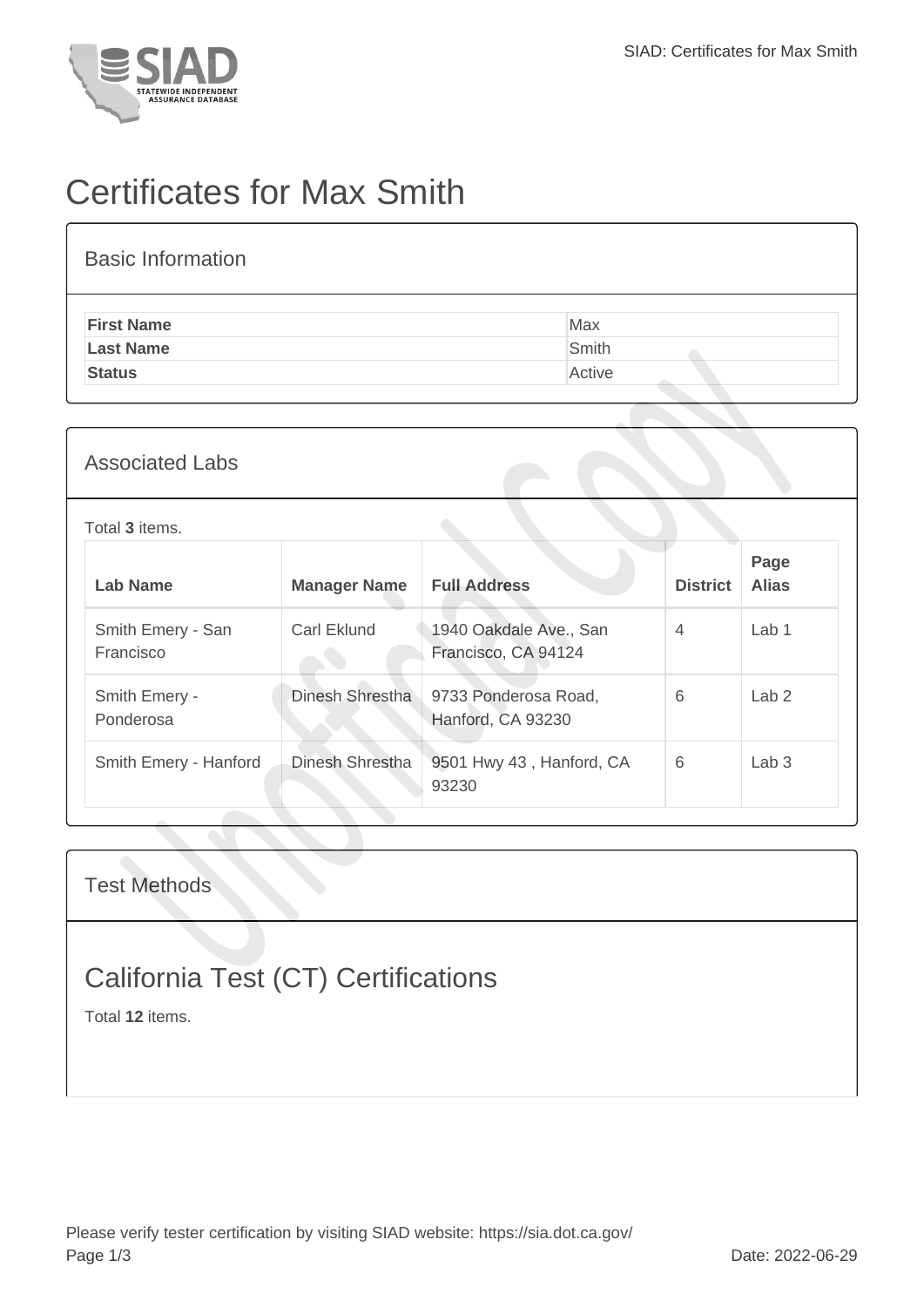

## Certificates for Max Smith

| <b>Basic Information</b> |        |
|--------------------------|--------|
| <b>First Name</b>        | Max    |
| <b>Last Name</b>         | Smith  |
| <b>Status</b>            | Active |
|                          |        |

## Associated Labs

Total **3** items.

| <b>Lab Name</b>                | <b>Manager Name</b> | <b>Full Address</b>                           | <b>District</b> | Page<br><b>Alias</b> |
|--------------------------------|---------------------|-----------------------------------------------|-----------------|----------------------|
| Smith Emery - San<br>Francisco | Carl Eklund         | 1940 Oakdale Ave., San<br>Francisco, CA 94124 | $\overline{4}$  | Lab <sub>1</sub>     |
| Smith Emery -<br>Ponderosa     | Dinesh Shrestha     | 9733 Ponderosa Road,<br>Hanford, CA 93230     | 6               | Lab <sub>2</sub>     |
| Smith Emery - Hanford          | Dinesh Shrestha     | 9501 Hwy 43, Hanford, CA<br>93230             | 6               | Lab <sub>3</sub>     |

Test Methods

## California Test (CT) Certifications

Total **12** items.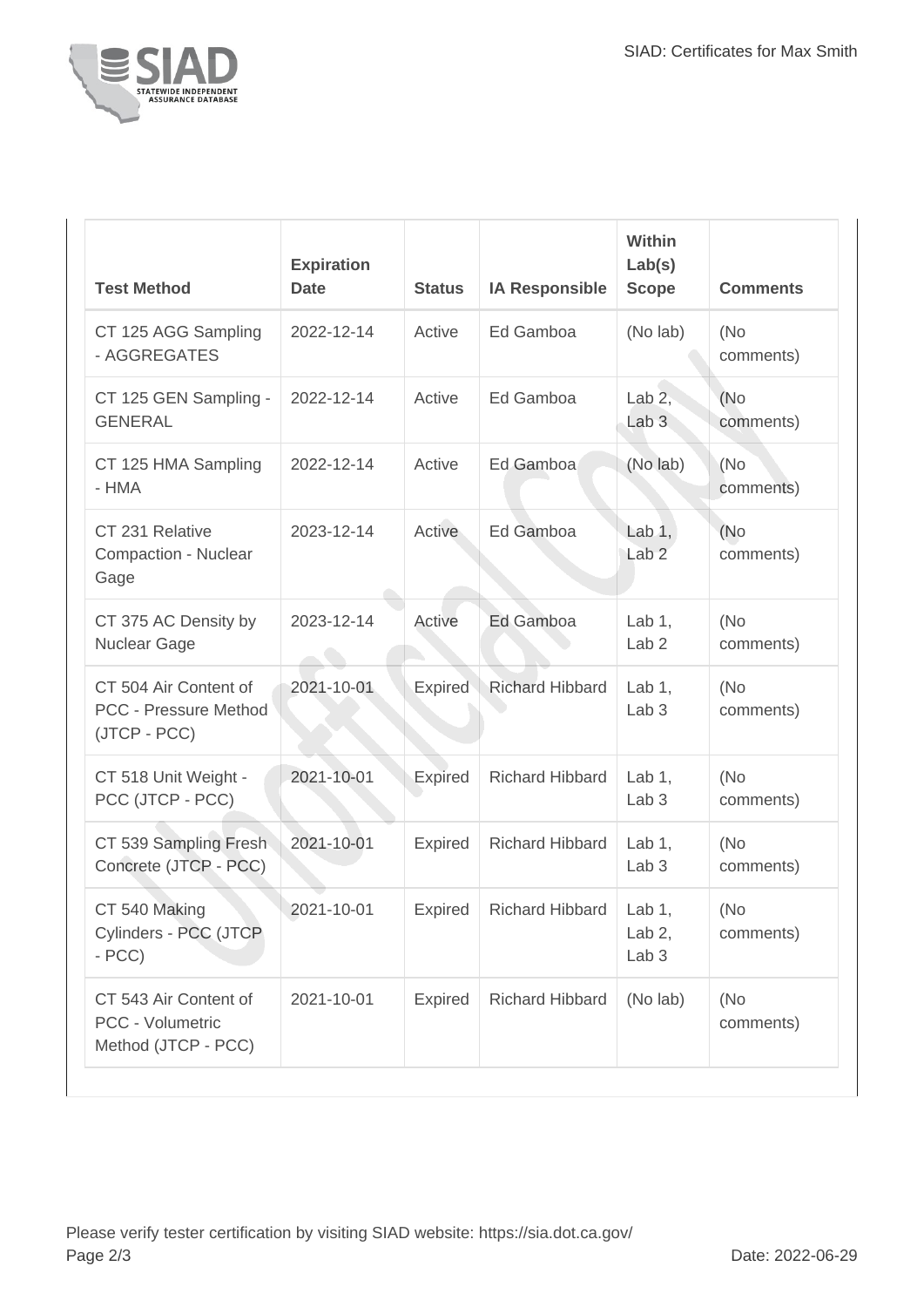

| <b>Test Method</b>                                                    | <b>Expiration</b><br><b>Date</b> | <b>Status</b>  | <b>IA Responsible</b>  | <b>Within</b><br>Lab(s)<br><b>Scope</b>   | <b>Comments</b>   |
|-----------------------------------------------------------------------|----------------------------------|----------------|------------------------|-------------------------------------------|-------------------|
| CT 125 AGG Sampling<br>- AGGREGATES                                   | 2022-12-14                       | Active         | Ed Gamboa              | (No lab)                                  | (No<br>comments)  |
| CT 125 GEN Sampling -<br><b>GENERAL</b>                               | 2022-12-14                       | Active         | Ed Gamboa              | Lab $2,$<br>Lab <sub>3</sub>              | (No)<br>comments) |
| CT 125 HMA Sampling<br>- HMA                                          | 2022-12-14                       | Active         | Ed Gamboa              | (No lab)                                  | (No<br>comments)  |
| CT 231 Relative<br>Compaction - Nuclear<br>Gage                       | 2023-12-14                       | Active         | Ed Gamboa              | Lab $1,$<br>Lab <sub>2</sub>              | (No<br>comments)  |
| CT 375 AC Density by<br>Nuclear Gage                                  | 2023-12-14                       | Active         | Ed Gamboa              | Lab $1$ ,<br>Lab <sub>2</sub>             | (No<br>comments)  |
| CT 504 Air Content of<br><b>PCC - Pressure Method</b><br>(JTCP - PCC) | 2021-10-01                       | <b>Expired</b> | <b>Richard Hibbard</b> | Lab $1$ ,<br>Lab <sub>3</sub>             | (No<br>comments)  |
| CT 518 Unit Weight -<br>PCC (JTCP - PCC)                              | 2021-10-01                       | <b>Expired</b> | <b>Richard Hibbard</b> | Lab $1$ ,<br>Lab <sub>3</sub>             | (No<br>comments)  |
| CT 539 Sampling Fresh<br>Concrete (JTCP - PCC)                        | 2021-10-01                       | <b>Expired</b> | <b>Richard Hibbard</b> | Lab $1$ ,<br>Lab <sub>3</sub>             | (No<br>comments)  |
| CT 540 Making<br>Cylinders - PCC (JTCP<br>$- PCC$                     | 2021-10-01                       | <b>Expired</b> | <b>Richard Hibbard</b> | Lab $1,$<br>Lab $2$ ,<br>Lab <sub>3</sub> | (No<br>comments)  |
| CT 543 Air Content of<br>PCC - Volumetric<br>Method (JTCP - PCC)      | 2021-10-01                       | <b>Expired</b> | <b>Richard Hibbard</b> | (No lab)                                  | (No<br>comments)  |